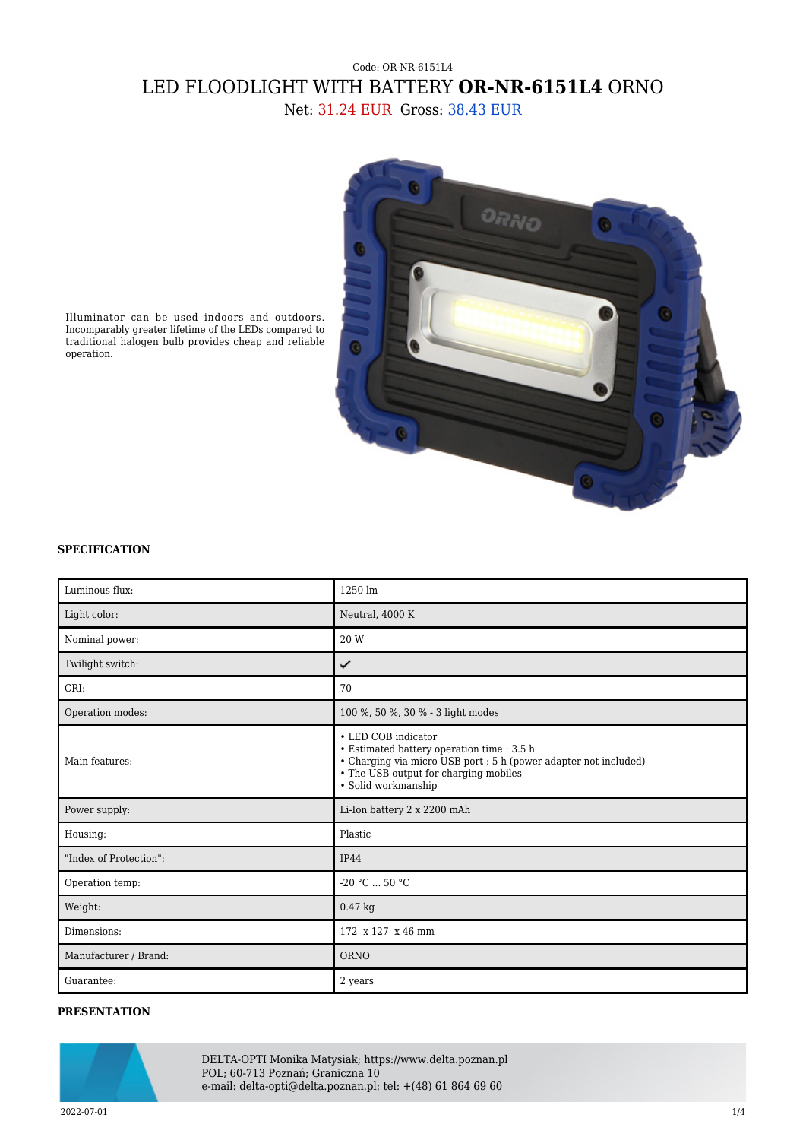## Code: OR-NR-6151L4 LED FLOODLIGHT WITH BATTERY **OR-NR-6151L4** ORNO Net: 31.24 EUR Gross: 38.43 EUR



Illuminator can be used indoors and outdoors. Incomparably greater lifetime of the LEDs compared to traditional halogen bulb provides cheap and reliable operation.

## **SPECIFICATION**

| Luminous flux:         | $1250 \text{ lm}$                                                                                                                                                                                     |
|------------------------|-------------------------------------------------------------------------------------------------------------------------------------------------------------------------------------------------------|
| Light color:           | Neutral, 4000 K                                                                                                                                                                                       |
| Nominal power:         | 20 W                                                                                                                                                                                                  |
| Twilight switch:       | ✓                                                                                                                                                                                                     |
| CRI:                   | 70                                                                                                                                                                                                    |
| Operation modes:       | 100 %, 50 %, 30 % - 3 light modes                                                                                                                                                                     |
| Main features:         | • LED COB indicator<br>• Estimated battery operation time : 3.5 h<br>• Charging via micro USB port : 5 h (power adapter not included)<br>• The USB output for charging mobiles<br>· Solid workmanship |
| Power supply:          | Li-Ion battery 2 x 2200 mAh                                                                                                                                                                           |
| Housing:               | Plastic                                                                                                                                                                                               |
| "Index of Protection": | <b>IP44</b>                                                                                                                                                                                           |
| Operation temp:        | -20 $°C$ 50 $°C$                                                                                                                                                                                      |
| Weight:                | 0.47 kg                                                                                                                                                                                               |
| Dimensions:            | 172 x 127 x 46 mm                                                                                                                                                                                     |
| Manufacturer / Brand:  | <b>ORNO</b>                                                                                                                                                                                           |
| Guarantee:             | 2 years                                                                                                                                                                                               |

## **PRESENTATION**



DELTA-OPTI Monika Matysiak; https://www.delta.poznan.pl POL; 60-713 Poznań; Graniczna 10 e-mail: delta-opti@delta.poznan.pl; tel: +(48) 61 864 69 60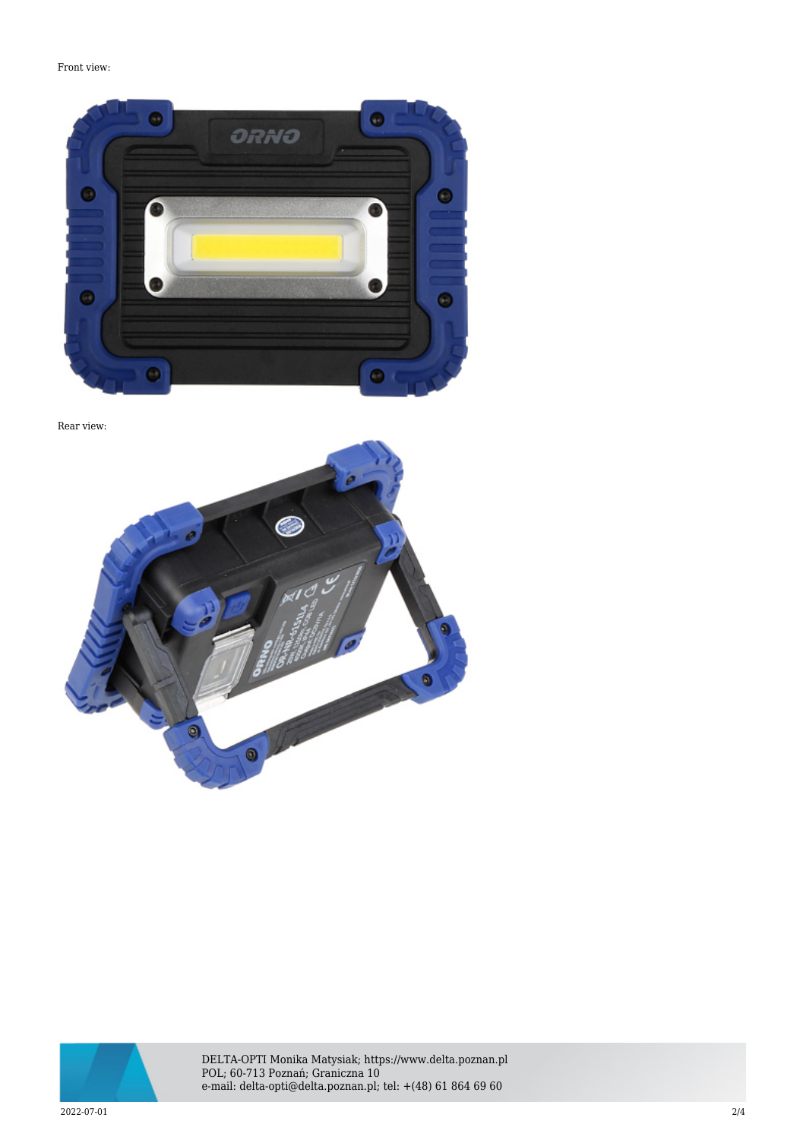Front view:



Rear view:





DELTA-OPTI Monika Matysiak; https://www.delta.poznan.pl POL; 60-713 Poznań; Graniczna 10 e-mail: delta-opti@delta.poznan.pl; tel: +(48) 61 864 69 60

2022-07-01 2/4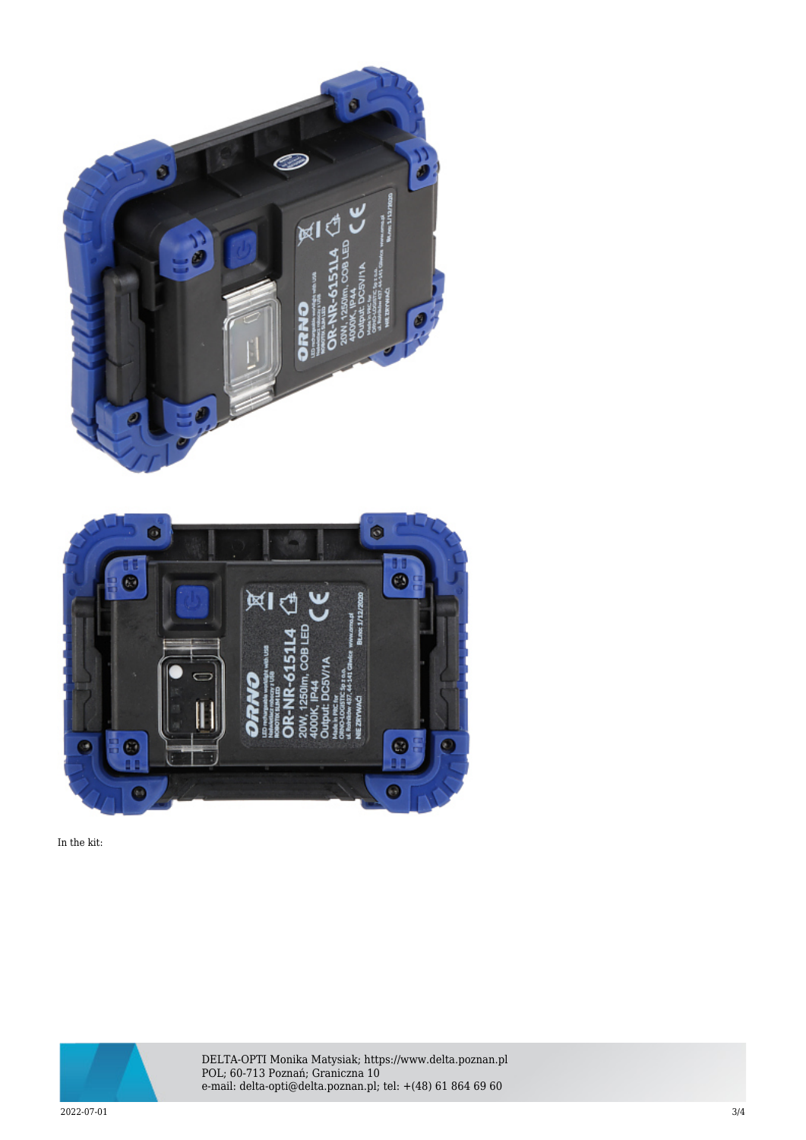



In the kit:



DELTA-OPTI Monika Matysiak; https://www.delta.poznan.pl POL; 60-713 Poznań; Graniczna 10 e-mail: delta-opti@delta.poznan.pl; tel: +(48) 61 864 69 60

2022-07-01 3/4